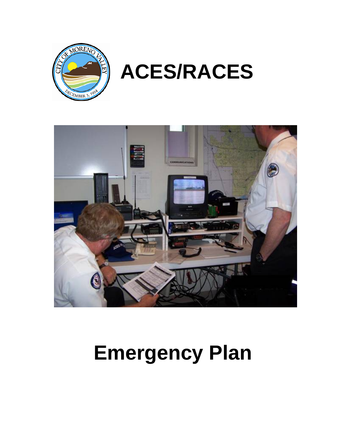# **Emergency Plan**





# **ACES/RACES**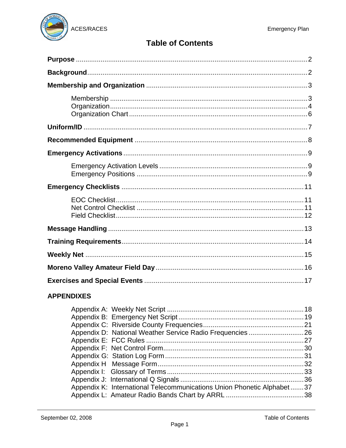

# **Table of Contents**

# **APPENDIXES**

| Appendix K: International Telecommunications Union Phonetic Alphabet37 |  |
|------------------------------------------------------------------------|--|
|                                                                        |  |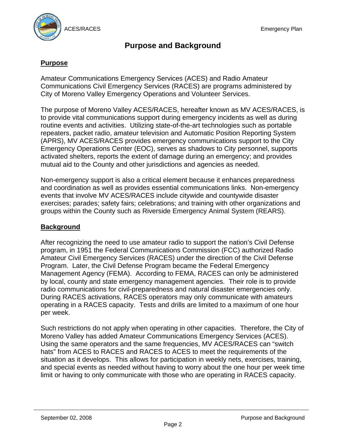

# **Purpose and Background**

# **Purpose**

Amateur Communications Emergency Services (ACES) and Radio Amateur Communications Civil Emergency Services (RACES) are programs administered by City of Moreno Valley Emergency Operations and Volunteer Services.

The purpose of Moreno Valley ACES/RACES, hereafter known as MV ACES/RACES, is to provide vital communications support during emergency incidents as well as during routine events and activities. Utilizing state-of-the-art technologies such as portable repeaters, packet radio, amateur television and Automatic Position Reporting System (APRS), MV ACES/RACES provides emergency communications support to the City Emergency Operations Center (EOC), serves as shadows to City personnel, supports activated shelters, reports the extent of damage during an emergency; and provides mutual aid to the County and other jurisdictions and agencies as needed.

Non-emergency support is also a critical element because it enhances preparedness and coordination as well as provides essential communications links. Non-emergency events that involve MV ACES/RACES include citywide and countywide disaster exercises; parades; safety fairs; celebrations; and training with other organizations and groups within the County such as Riverside Emergency Animal System (REARS).

#### **Background**

After recognizing the need to use amateur radio to support the nation's Civil Defense program, in 1951 the Federal Communications Commission (FCC) authorized Radio Amateur Civil Emergency Services (RACES) under the direction of the Civil Defense Program. Later, the Civil Defense Program became the Federal Emergency Management Agency (FEMA). According to FEMA, RACES can only be administered by local, county and state emergency management agencies. Their role is to provide radio communications for civil-preparedness and natural disaster emergencies only. During RACES activations, RACES operators may only communicate with amateurs operating in a RACES capacity. Tests and drills are limited to a maximum of one hour per week.

Such restrictions do not apply when operating in other capacities. Therefore, the City of Moreno Valley has added Amateur Communications Emergency Services (ACES). Using the same operators and the same frequencies, MV ACES/RACES can "switch hats" from ACES to RACES and RACES to ACES to meet the requirements of the situation as it develops. This allows for participation in weekly nets, exercises, training, and special events as needed without having to worry about the one hour per week time limit or having to only communicate with those who are operating in RACES capacity.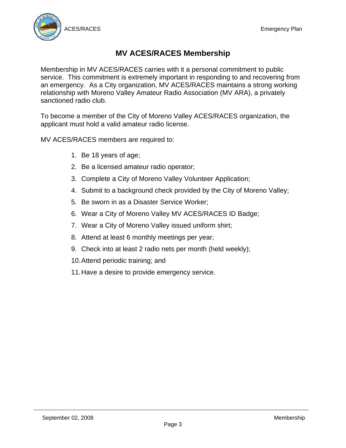

# **MV ACES/RACES Membership**

Membership in MV ACES/RACES carries with it a personal commitment to public service. This commitment is extremely important in responding to and recovering from an emergency. As a City organization, MV ACES/RACES maintains a strong working relationship with Moreno Valley Amateur Radio Association (MV ARA), a privately sanctioned radio club.

To become a member of the City of Moreno Valley ACES/RACES organization, the applicant must hold a valid amateur radio license.

MV ACES/RACES members are required to:

- 1. Be 18 years of age;
- 2. Be a licensed amateur radio operator;
- 3. Complete a City of Moreno Valley Volunteer Application;
- 4. Submit to a background check provided by the City of Moreno Valley;
- 5. Be sworn in as a Disaster Service Worker;
- 6. Wear a City of Moreno Valley MV ACES/RACES ID Badge;
- 7. Wear a City of Moreno Valley issued uniform shirt;
- 8. Attend at least 6 monthly meetings per year;
- 9. Check into at least 2 radio nets per month (held weekly);
- 10. Attend periodic training; and
- 11. Have a desire to provide emergency service.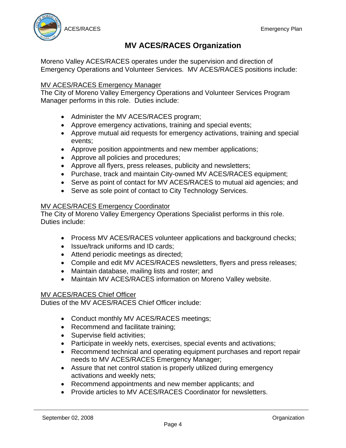

# **MV ACES/RACES Organization**

Moreno Valley ACES/RACES operates under the supervision and direction of Emergency Operations and Volunteer Services. MV ACES/RACES positions include:

#### MV ACES/RACES Emergency Manager

The City of Moreno Valley Emergency Operations and Volunteer Services Program Manager performs in this role. Duties include:

- Administer the MV ACES/RACES program;
- Approve emergency activations, training and special events;
- Approve mutual aid requests for emergency activations, training and special events;
- Approve position appointments and new member applications;
- Approve all policies and procedures;
- Approve all flyers, press releases, publicity and newsletters;
- Purchase, track and maintain City-owned MV ACES/RACES equipment;
- Serve as point of contact for MV ACES/RACES to mutual aid agencies; and
- Serve as sole point of contact to City Technology Services.

#### MV ACES/RACES Emergency Coordinator

The City of Moreno Valley Emergency Operations Specialist performs in this role. Duties include:

- Process MV ACES/RACES volunteer applications and background checks;
- Issue/track uniforms and ID cards:
- Attend periodic meetings as directed;
- Compile and edit MV ACES/RACES newsletters, flyers and press releases;
- Maintain database, mailing lists and roster; and
- Maintain MV ACES/RACES information on Moreno Valley website.

#### MV ACES/RACES Chief Officer

Duties of the MV ACES/RACES Chief Officer include:

- Conduct monthly MV ACES/RACES meetings;
- Recommend and facilitate training;
- Supervise field activities;
- Participate in weekly nets, exercises, special events and activations;
- Recommend technical and operating equipment purchases and report repair needs to MV ACES/RACES Emergency Manager;
- Assure that net control station is properly utilized during emergency activations and weekly nets;
- Recommend appointments and new member applicants; and
- Provide articles to MV ACES/RACES Coordinator for newsletters.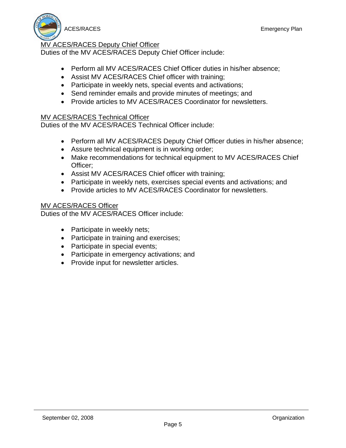

#### MV ACES/RACES Deputy Chief Officer

Duties of the MV ACES/RACES Deputy Chief Officer include:

- Perform all MV ACES/RACES Chief Officer duties in his/her absence;
- Assist MV ACES/RACES Chief officer with training;
- Participate in weekly nets, special events and activations;
- Send reminder emails and provide minutes of meetings; and
- Provide articles to MV ACES/RACES Coordinator for newsletters.

#### MV ACES/RACES Technical Officer

Duties of the MV ACES/RACES Technical Officer include:

- Perform all MV ACES/RACES Deputy Chief Officer duties in his/her absence;
- Assure technical equipment is in working order;
- Make recommendations for technical equipment to MV ACES/RACES Chief Officer;
- Assist MV ACES/RACES Chief officer with training;
- Participate in weekly nets, exercises special events and activations; and
- Provide articles to MV ACES/RACES Coordinator for newsletters.

#### MV ACES/RACES Officer

Duties of the MV ACES/RACES Officer include:

- Participate in weekly nets;
- Participate in training and exercises;
- Participate in special events;
- Participate in emergency activations; and
- Provide input for newsletter articles.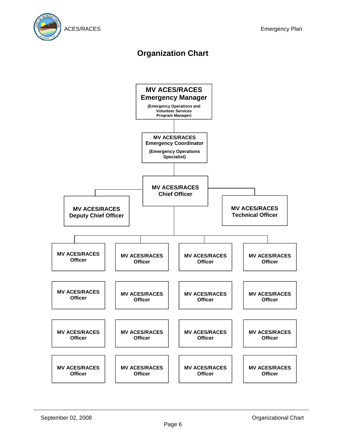

# **Organization Chart**

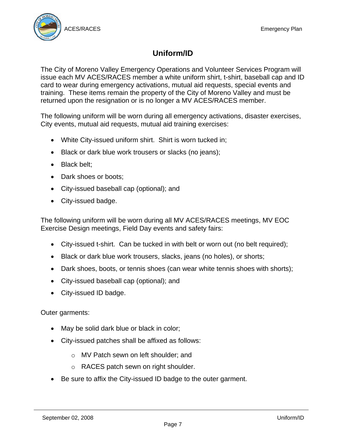

# **Uniform/ID**

The City of Moreno Valley Emergency Operations and Volunteer Services Program will issue each MV ACES/RACES member a white uniform shirt, t-shirt, baseball cap and ID card to wear during emergency activations, mutual aid requests, special events and training. These items remain the property of the City of Moreno Valley and must be returned upon the resignation or is no longer a MV ACES/RACES member.

The following uniform will be worn during all emergency activations, disaster exercises, City events, mutual aid requests, mutual aid training exercises:

- White City-issued uniform shirt. Shirt is worn tucked in;
- Black or dark blue work trousers or slacks (no jeans);
- Black belt;
- Dark shoes or boots;
- City-issued baseball cap (optional); and
- City-issued badge.

The following uniform will be worn during all MV ACES/RACES meetings, MV EOC Exercise Design meetings, Field Day events and safety fairs:

- City-issued t-shirt. Can be tucked in with belt or worn out (no belt required):
- Black or dark blue work trousers, slacks, jeans (no holes), or shorts;
- Dark shoes, boots, or tennis shoes (can wear white tennis shoes with shorts);
- City-issued baseball cap (optional); and
- City-issued ID badge.

#### Outer garments:

- May be solid dark blue or black in color;
- City-issued patches shall be affixed as follows:
	- o MV Patch sewn on left shoulder; and
	- o RACES patch sewn on right shoulder.
- Be sure to affix the City-issued ID badge to the outer garment.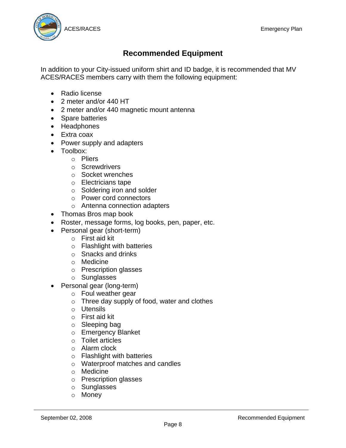

# **Recommended Equipment**

In addition to your City-issued uniform shirt and ID badge, it is recommended that MV ACES/RACES members carry with them the following equipment:

- Radio license
- 2 meter and/or 440 HT
- 2 meter and/or 440 magnetic mount antenna
- Spare batteries
- Headphones
- Extra coax
- Power supply and adapters
- Toolbox:
	- o Pliers
	- o Screwdrivers
	- o Socket wrenches
	- o Electricians tape
	- o Soldering iron and solder
	- o Power cord connectors
	- o Antenna connection adapters
- Thomas Bros map book
- Roster, message forms, log books, pen, paper, etc.
- Personal gear (short-term)
	- o First aid kit
	- o Flashlight with batteries
	- o Snacks and drinks
	- o Medicine
	- o Prescription glasses
	- o Sunglasses
- Personal gear (long-term)
	- o Foul weather gear
	- o Three day supply of food, water and clothes
	- o Utensils
	- o First aid kit
	- o Sleeping bag
	- o Emergency Blanket
	- o Toilet articles
	- o Alarm clock
	- o Flashlight with batteries
	- o Waterproof matches and candles
	- o Medicine
	- o Prescription glasses
	- o Sunglasses
	- o Money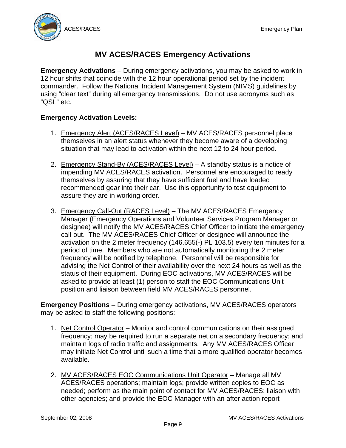

# **MV ACES/RACES Emergency Activations**

**Emergency Activations** – During emergency activations, you may be asked to work in 12 hour shifts that coincide with the 12 hour operational period set by the incident commander. Follow the National Incident Management System (NIMS) guidelines by using "clear text" during all emergency transmissions. Do not use acronyms such as "QSL" etc.

# **Emergency Activation Levels:**

- 1. Emergency Alert (ACES/RACES Level) MV ACES/RACES personnel place themselves in an alert status whenever they become aware of a developing situation that may lead to activation within the next 12 to 24 hour period.
- 2. Emergency Stand-By (ACES/RACES Level) A standby status is a notice of impending MV ACES/RACES activation. Personnel are encouraged to ready themselves by assuring that they have sufficient fuel and have loaded recommended gear into their car. Use this opportunity to test equipment to assure they are in working order.
- 3. Emergency Call-Out (RACES Level) The MV ACES/RACES Emergency Manager (Emergency Operations and Volunteer Services Program Manager or designee) will notify the MV ACES/RACES Chief Officer to initiate the emergency call-out. The MV ACES/RACES Chief Officer or designee will announce the activation on the 2 meter frequency (146.655(-) PL 103.5) every ten minutes for a period of time. Members who are not automatically monitoring the 2 meter frequency will be notified by telephone. Personnel will be responsible for advising the Net Control of their availability over the next 24 hours as well as the status of their equipment. During EOC activations, MV ACES/RACES will be asked to provide at least (1) person to staff the EOC Communications Unit position and liaison between field MV ACES/RACES personnel.

**Emergency Positions** – During emergency activations, MV ACES/RACES operators may be asked to staff the following positions:

- 1. Net Control Operator Monitor and control communications on their assigned frequency; may be required to run a separate net on a secondary frequency; and maintain logs of radio traffic and assignments. Any MV ACES/RACES Officer may initiate Net Control until such a time that a more qualified operator becomes available.
- 2. MV ACES/RACES EOC Communications Unit Operator Manage all MV ACES/RACES operations; maintain logs; provide written copies to EOC as needed; perform as the main point of contact for MV ACES/RACES; liaison with other agencies; and provide the EOC Manager with an after action report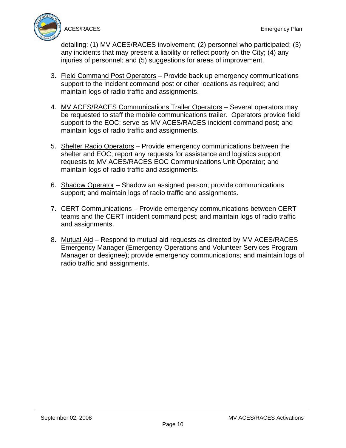

detailing: (1) MV ACES/RACES involvement; (2) personnel who participated; (3) any incidents that may present a liability or reflect poorly on the City; (4) any injuries of personnel; and (5) suggestions for areas of improvement.

- 3. Field Command Post Operators Provide back up emergency communications support to the incident command post or other locations as required; and maintain logs of radio traffic and assignments.
- 4. MV ACES/RACES Communications Trailer Operators Several operators may be requested to staff the mobile communications trailer. Operators provide field support to the EOC; serve as MV ACES/RACES incident command post; and maintain logs of radio traffic and assignments.
- 5. Shelter Radio Operators Provide emergency communications between the shelter and EOC; report any requests for assistance and logistics support requests to MV ACES/RACES EOC Communications Unit Operator; and maintain logs of radio traffic and assignments.
- 6. Shadow Operator Shadow an assigned person; provide communications support; and maintain logs of radio traffic and assignments.
- 7. CERT Communications Provide emergency communications between CERT teams and the CERT incident command post; and maintain logs of radio traffic and assignments.
- 8. Mutual Aid Respond to mutual aid requests as directed by MV ACES/RACES Emergency Manager (Emergency Operations and Volunteer Services Program Manager or designee); provide emergency communications; and maintain logs of radio traffic and assignments.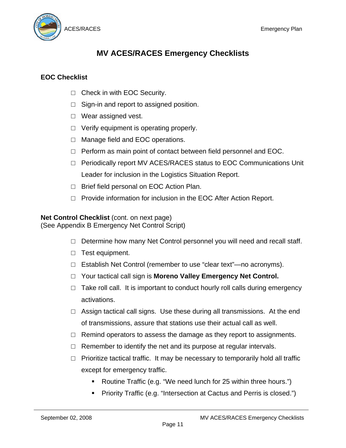

# **MV ACES/RACES Emergency Checklists**

# **EOC Checklist**

- □ Check in with EOC Security.
- $\Box$  Sign-in and report to assigned position.
- □ Wear assigned vest.
- $\Box$  Verify equipment is operating properly.
- □ Manage field and EOC operations.
- $\Box$  Perform as main point of contact between field personnel and EOC.
- $\Box$  Periodically report MV ACES/RACES status to EOC Communications Unit Leader for inclusion in the Logistics Situation Report.
- □ Brief field personal on EOC Action Plan.
- □ Provide information for inclusion in the EOC After Action Report.

# **Net Control Checklist** (cont. on next page)

(See Appendix B Emergency Net Control Script)

- $\Box$  Determine how many Net Control personnel you will need and recall staff.
- □ Test equipment.
- $\Box$  Establish Net Control (remember to use "clear text"—no acronyms).
- □ Your tactical call sign is **Moreno Valley Emergency Net Control.**
- $\Box$  Take roll call. It is important to conduct hourly roll calls during emergency activations.
- $\Box$  Assign tactical call signs. Use these during all transmissions. At the end of transmissions, assure that stations use their actual call as well.
- $\Box$  Remind operators to assess the damage as they report to assignments.
- $\Box$  Remember to identify the net and its purpose at regular intervals.
- $\Box$  Prioritize tactical traffic. It may be necessary to temporarily hold all traffic except for emergency traffic.
	- Routine Traffic (e.g. "We need lunch for 25 within three hours.")
	- Priority Traffic (e.g. "Intersection at Cactus and Perris is closed.")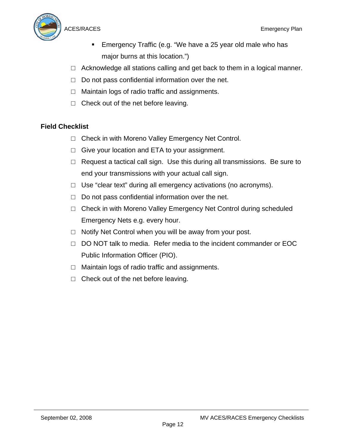

- Emergency Traffic (e.g. "We have a 25 year old male who has major burns at this location.")
- $\Box$  Acknowledge all stations calling and get back to them in a logical manner.
- $\Box$  Do not pass confidential information over the net.
- $\Box$  Maintain logs of radio traffic and assignments.
- $\Box$  Check out of the net before leaving.

# **Field Checklist**

- □ Check in with Moreno Valley Emergency Net Control.
- $\Box$  Give your location and ETA to your assignment.
- $\Box$  Request a tactical call sign. Use this during all transmissions. Be sure to end your transmissions with your actual call sign.
- $\Box$  Use "clear text" during all emergency activations (no acronyms).
- $\Box$  Do not pass confidential information over the net.
- $\Box$  Check in with Moreno Valley Emergency Net Control during scheduled Emergency Nets e.g. every hour.
- $\Box$  Notify Net Control when you will be away from your post.
- □ DO NOT talk to media. Refer media to the incident commander or EOC Public Information Officer (PIO).
- $\Box$  Maintain logs of radio traffic and assignments.
- $\Box$  Check out of the net before leaving.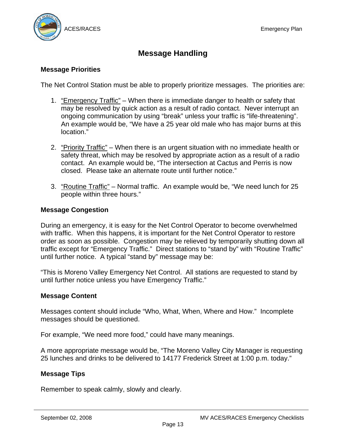

# **Message Handling**

#### **Message Priorities**

The Net Control Station must be able to properly prioritize messages. The priorities are:

- 1. "Emergency Traffic" When there is immediate danger to health or safety that may be resolved by quick action as a result of radio contact. Never interrupt an ongoing communication by using "break" unless your traffic is "life-threatening". An example would be, "We have a 25 year old male who has major burns at this location."
- 2. "Priority Traffic" When there is an urgent situation with no immediate health or safety threat, which may be resolved by appropriate action as a result of a radio contact. An example would be, "The intersection at Cactus and Perris is now closed. Please take an alternate route until further notice."
- 3. "Routine Traffic" Normal traffic. An example would be, "We need lunch for 25 people within three hours."

#### **Message Congestion**

During an emergency, it is easy for the Net Control Operator to become overwhelmed with traffic. When this happens, it is important for the Net Control Operator to restore order as soon as possible. Congestion may be relieved by temporarily shutting down all traffic except for "Emergency Traffic." Direct stations to "stand by" with "Routine Traffic" until further notice. A typical "stand by" message may be:

"This is Moreno Valley Emergency Net Control. All stations are requested to stand by until further notice unless you have Emergency Traffic."

#### **Message Content**

Messages content should include "Who, What, When, Where and How." Incomplete messages should be questioned.

For example, "We need more food," could have many meanings.

A more appropriate message would be, "The Moreno Valley City Manager is requesting 25 lunches and drinks to be delivered to 14177 Frederick Street at 1:00 p.m. today."

#### **Message Tips**

Remember to speak calmly, slowly and clearly.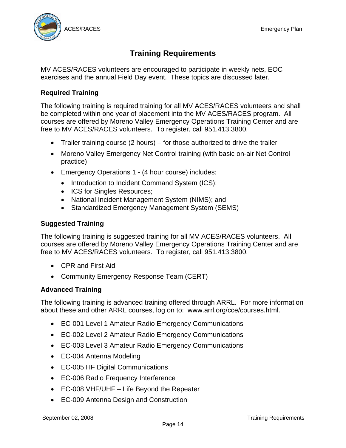

# **Training Requirements**

MV ACES/RACES volunteers are encouraged to participate in weekly nets, EOC exercises and the annual Field Day event. These topics are discussed later.

# **Required Training**

The following training is required training for all MV ACES/RACES volunteers and shall be completed within one year of placement into the MV ACES/RACES program. All courses are offered by Moreno Valley Emergency Operations Training Center and are free to MV ACES/RACES volunteers. To register, call 951.413.3800.

- Trailer training course (2 hours) for those authorized to drive the trailer
- Moreno Valley Emergency Net Control training (with basic on-air Net Control practice)
- Emergency Operations 1 (4 hour course) includes:
	- Introduction to Incident Command System (ICS);
	- ICS for Singles Resources;
	- National Incident Management System (NIMS); and
	- Standardized Emergency Management System (SEMS)

# **Suggested Training**

The following training is suggested training for all MV ACES/RACES volunteers. All courses are offered by Moreno Valley Emergency Operations Training Center and are free to MV ACES/RACES volunteers. To register, call 951.413.3800.

- CPR and First Aid
- Community Emergency Response Team (CERT)

# **Advanced Training**

The following training is advanced training offered through ARRL. For more information about these and other ARRL courses, log on to: www.arrl.org/cce/courses.html.

- EC-001 Level 1 Amateur Radio Emergency Communications
- EC-002 Level 2 Amateur Radio Emergency Communications
- EC-003 Level 3 Amateur Radio Emergency Communications
- EC-004 Antenna Modeling
- EC-005 HF Digital Communications
- EC-006 Radio Frequency Interference
- EC-008 VHF/UHF Life Beyond the Repeater
- EC-009 Antenna Design and Construction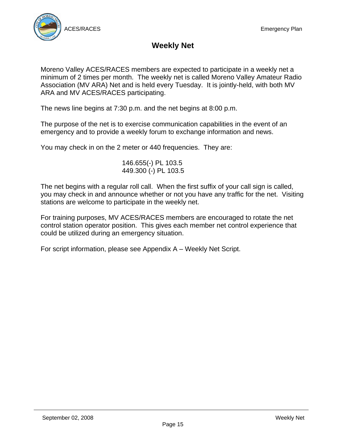



# **Weekly Net**

Moreno Valley ACES/RACES members are expected to participate in a weekly net a minimum of 2 times per month. The weekly net is called Moreno Valley Amateur Radio Association (MV ARA) Net and is held every Tuesday. It is jointly-held, with both MV ARA and MV ACES/RACES participating.

The news line begins at 7:30 p.m. and the net begins at 8:00 p.m.

The purpose of the net is to exercise communication capabilities in the event of an emergency and to provide a weekly forum to exchange information and news.

You may check in on the 2 meter or 440 frequencies. They are:

146.655(-) PL 103.5 449.300 (-) PL 103.5

The net begins with a regular roll call. When the first suffix of your call sign is called, you may check in and announce whether or not you have any traffic for the net. Visiting stations are welcome to participate in the weekly net.

For training purposes, MV ACES/RACES members are encouraged to rotate the net control station operator position. This gives each member net control experience that could be utilized during an emergency situation.

For script information, please see Appendix A – Weekly Net Script.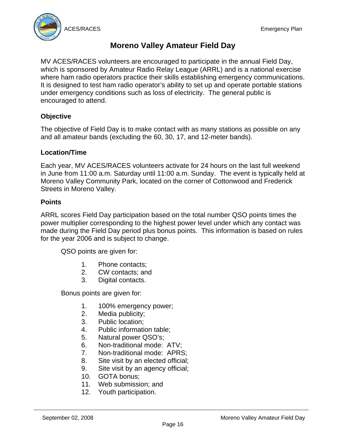

# **Moreno Valley Amateur Field Day**

MV ACES/RACES volunteers are encouraged to participate in the annual Field Day, which is sponsored by Amateur Radio Relay League (ARRL) and is a national exercise where ham radio operators practice their skills establishing emergency communications. It is designed to test ham radio operator's ability to set up and operate portable stations under emergency conditions such as loss of electricity. The general public is encouraged to attend.

# **Objective**

The objective of Field Day is to make contact with as many stations as possible on any and all amateur bands (excluding the 60, 30, 17, and 12-meter bands).

# **Location/Time**

Each year, MV ACES/RACES volunteers activate for 24 hours on the last full weekend in June from 11:00 a.m. Saturday until 11:00 a.m. Sunday. The event is typically held at Moreno Valley Community Park, located on the corner of Cottonwood and Frederick Streets in Moreno Valley.

#### **Points**

ARRL scores Field Day participation based on the total number QSO points times the power multiplier corresponding to the highest power level under which any contact was made during the Field Day period plus bonus points. This information is based on rules for the year 2006 and is subject to change.

QSO points are given for:

- 1. Phone contacts;
- 2. CW contacts; and
- 3. Digital contacts.

Bonus points are given for:

- 1. 100% emergency power;
- 2. Media publicity;
- 3. Public location;
- 4. Public information table;
- 5. Natural power QSO's;
- 6. Non-traditional mode: ATV;
- 7. Non-traditional mode: APRS;
- 8. Site visit by an elected official;
- 9. Site visit by an agency official;
- 10. GOTA bonus;
- 11. Web submission; and
- 12. Youth participation.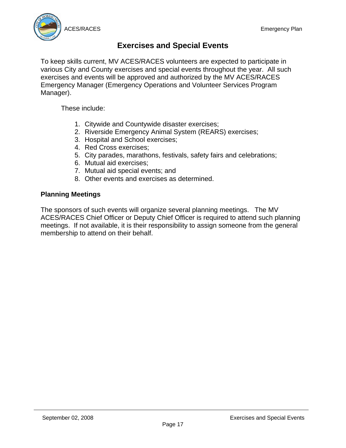

# **Exercises and Special Events**

To keep skills current, MV ACES/RACES volunteers are expected to participate in various City and County exercises and special events throughout the year. All such exercises and events will be approved and authorized by the MV ACES/RACES Emergency Manager (Emergency Operations and Volunteer Services Program Manager).

These include:

- 1. Citywide and Countywide disaster exercises;
- 2. Riverside Emergency Animal System (REARS) exercises;
- 3. Hospital and School exercises;
- 4. Red Cross exercises;
- 5. City parades, marathons, festivals, safety fairs and celebrations;
- 6. Mutual aid exercises;
- 7. Mutual aid special events; and
- 8. Other events and exercises as determined.

#### **Planning Meetings**

The sponsors of such events will organize several planning meetings. The MV ACES/RACES Chief Officer or Deputy Chief Officer is required to attend such planning meetings. If not available, it is their responsibility to assign someone from the general membership to attend on their behalf.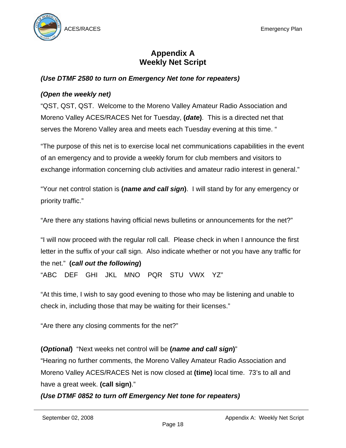

# **Appendix A Weekly Net Script**

# *(Use DTMF 2580 to turn on Emergency Net tone for repeaters)*

#### *(Open the weekly net)*

"QST, QST, QST. Welcome to the Moreno Valley Amateur Radio Association and Moreno Valley ACES/RACES Net for Tuesday, **(***date***)**. This is a directed net that serves the Moreno Valley area and meets each Tuesday evening at this time. "

"The purpose of this net is to exercise local net communications capabilities in the event of an emergency and to provide a weekly forum for club members and visitors to exchange information concerning club activities and amateur radio interest in general."

"Your net control station is **(***name and call sign***)**. I will stand by for any emergency or priority traffic."

"Are there any stations having official news bulletins or announcements for the net?"

"I will now proceed with the regular roll call. Please check in when I announce the first letter in the suffix of your call sign. Also indicate whether or not you have any traffic for the net." **(***call out the following***)** "ABC DEF GHI JKL MNO PQR STU VWX YZ"

"At this time, I wish to say good evening to those who may be listening and unable to check in, including those that may be waiting for their licenses."

"Are there any closing comments for the net?"

**(***Optional***)** "Next weeks net control will be **(***name and call sign***)**"

"Hearing no further comments, the Moreno Valley Amateur Radio Association and Moreno Valley ACES/RACES Net is now closed at **(time)** local time. 73's to all and have a great week. **(call sign)**."

*(Use DTMF 0852 to turn off Emergency Net tone for repeaters)*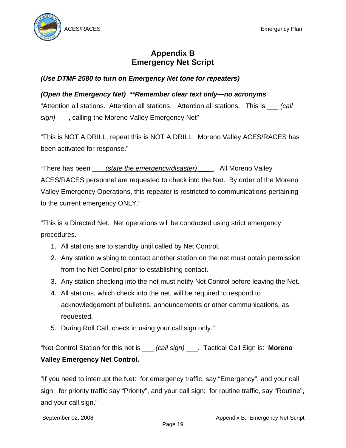

# **Appendix B Emergency Net Script**

# *(Use DTMF 2580 to turn on Emergency Net tone for repeaters)*

#### *(Open the Emergency Net) \*\*Remember clear text only—no acronyms*

"Attention all stations. Attention all stations. Attention all stations. This is \_\_\_ *(call sign)* \_\_\_, calling the Moreno Valley Emergency Net"

"This is NOT A DRILL, repeat this is NOT A DRILL. Moreno Valley ACES/RACES has been activated for response."

"There has been \_\_\_ *(state the emergency/disaster) \_\_\_*\_. All Moreno Valley ACES/RACES personnel are requested to check into the Net. By order of the Moreno Valley Emergency Operations, this repeater is restricted to communications pertaining to the current emergency ONLY."

"This is a Directed Net. Net operations will be conducted using strict emergency procedures.

- 1. All stations are to standby until called by Net Control.
- 2. Any station wishing to contact another station on the net must obtain permission from the Net Control prior to establishing contact.
- 3. Any station checking into the net must notify Net Control before leaving the Net.
- 4. All stations, which check into the net, will be required to respond to acknowledgement of bulletins, announcements or other communications, as requested.
- 5. During Roll Call, check in using your call sign only."

"Net Control Station for this net is \_\_\_ *(call sign)* \_\_\_. Tactical Call Sign is: **Moreno Valley Emergency Net Control.** 

"If you need to interrupt the Net: for emergency traffic, say "Emergency", and your call sign: for priority traffic say "Priority", and your call sign; for routine traffic, say "Routine", and your call sign."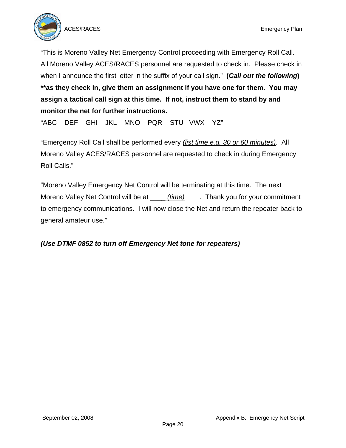

"This is Moreno Valley Net Emergency Control proceeding with Emergency Roll Call. All Moreno Valley ACES/RACES personnel are requested to check in. Please check in when I announce the first letter in the suffix of your call sign." **(***Call out the following***) \*\*as they check in, give them an assignment if you have one for them. You may assign a tactical call sign at this time. If not, instruct them to stand by and monitor the net for further instructions.**

"ABC DEF GHI JKL MNO PQR STU VWX YZ"

"Emergency Roll Call shall be performed every *(list time e.g. 30 or 60 minutes)*. All Moreno Valley ACES/RACES personnel are requested to check in during Emergency Roll Calls."

"Moreno Valley Emergency Net Control will be terminating at this time. The next Moreno Valley Net Control will be at \_\_\_\_ *(time)\_\_\_\_*. Thank you for your commitment to emergency communications. I will now close the Net and return the repeater back to general amateur use."

# *(Use DTMF 0852 to turn off Emergency Net tone for repeaters)*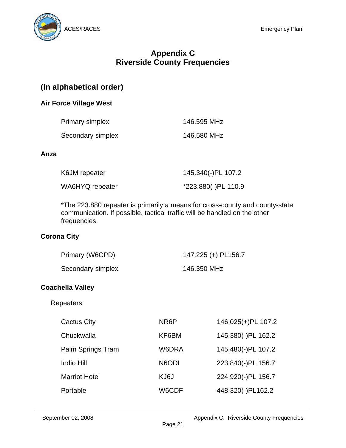

# **Appendix C Riverside County Frequencies**

# **(In alphabetical order)**

#### **Air Force Village West**

| Primary simplex   | 146.595 MHz |
|-------------------|-------------|
| Secondary simplex | 146.580 MHz |

#### **Anza**

| K6JM repeater   | 145.340(-)PL 107.2  |
|-----------------|---------------------|
| WA6HYQ repeater | *223.880(-)PL 110.9 |

\*The 223.880 repeater is primarily a means for cross-county and county-state communication. If possible, tactical traffic will be handled on the other frequencies.

#### **Corona City**

| Primary (W6CPD)   | 147.225 (+) PL156.7 |
|-------------------|---------------------|
| Secondary simplex | 146.350 MHz         |

#### **Coachella Valley**

#### Repeaters

| NR6P               | 146.025(+)PL 107.2 |
|--------------------|--------------------|
| KF6BM              | 145.380(-)PL 162.2 |
| W6DRA              | 145.480(-)PL 107.2 |
| N <sub>6</sub> ODI | 223.840(-)PL 156.7 |
| KJ6J               | 224.920(-)PL 156.7 |
| W6CDF              | 448.320(-)PL162.2  |
|                    |                    |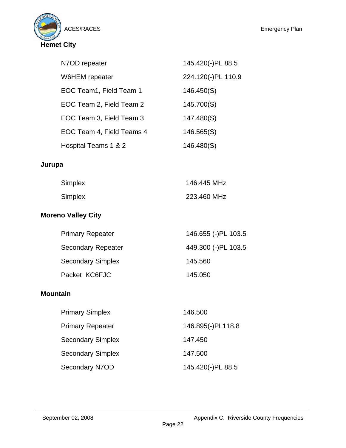

| N7OD repeater             | 145.420(-)PL 88.5  |
|---------------------------|--------------------|
| W6HEM repeater            | 224.120(-)PL 110.9 |
| EOC Team1, Field Team 1   | 146.450(S)         |
| EOC Team 2, Field Team 2  | 145.700(S)         |
| EOC Team 3, Field Team 3  | 147.480(S)         |
| EOC Team 4, Field Teams 4 | 146.565(S)         |
| Hospital Teams 1 & 2      | 146.480(S)         |
|                           |                    |

# **Jurupa**

| <b>Simplex</b> | 146.445 MHz |
|----------------|-------------|
| <b>Simplex</b> | 223.460 MHz |

# **Moreno Valley City**

| <b>Primary Repeater</b>   | 146.655 (-)PL 103.5 |
|---------------------------|---------------------|
| <b>Secondary Repeater</b> | 449.300 (-)PL 103.5 |
| <b>Secondary Simplex</b>  | 145.560             |
| Packet KC6FJC             | 145.050             |

# **Mountain**

| <b>Primary Simplex</b>   | 146.500           |
|--------------------------|-------------------|
| <b>Primary Repeater</b>  | 146.895(-)PL118.8 |
| <b>Secondary Simplex</b> | 147.450           |
| <b>Secondary Simplex</b> | 147.500           |
| Secondary N7OD           | 145.420(-)PL 88.5 |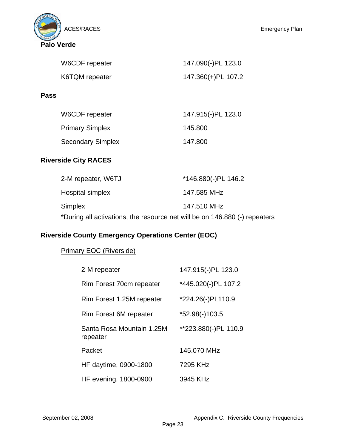



| W6CDF repeater | 147.090(-)PL 123.0 |
|----------------|--------------------|
| K6TQM repeater | 147.360(+)PL 107.2 |
|                |                    |

**Pass** 

| W6CDF repeater           | 147.915(-)PL 123.0 |
|--------------------------|--------------------|
| <b>Primary Simplex</b>   | 145.800            |
| <b>Secondary Simplex</b> | 147.800            |

# **Riverside City RACES**

| 2-M repeater, W6TJ                                                         | *146.880(-)PL 146.2 |
|----------------------------------------------------------------------------|---------------------|
| Hospital simplex                                                           | 147.585 MHz         |
| <b>Simplex</b>                                                             | 147.510 MHz         |
| *During all activations, the resource net will be on 146.880 (-) repeaters |                     |

# **Riverside County Emergency Operations Center (EOC)**

# Primary EOC (Riverside)

| 2-M repeater                          | 147.915(-)PL 123.0   |
|---------------------------------------|----------------------|
| Rim Forest 70cm repeater              | *445.020(-)PL 107.2  |
| Rim Forest 1.25M repeater             | *224.26(-)PL110.9    |
| Rim Forest 6M repeater                | *52.98(-)103.5       |
| Santa Rosa Mountain 1.25M<br>repeater | **223.880(-)PL 110.9 |
| Packet                                | 145.070 MHz          |
| HF daytime, 0900-1800                 | 7295 KHz             |
| HF evening, 1800-0900                 | 3945 KHz             |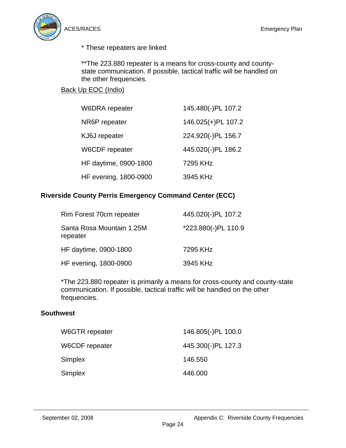

\* These repeaters are linked

\*\*The 223.880 repeater is a means for cross-county and countystate communication. If possible, tactical traffic will be handled on the other frequencies.

# Back Up EOC (Indio)

| W6DRA repeater        | 145.480(-)PL 107.2 |
|-----------------------|--------------------|
| NR6P repeater         | 146.025(+)PL 107.2 |
| KJ6J repeater         | 224.920(-)PL 156.7 |
| W6CDF repeater        | 445.020(-)PL 186.2 |
| HF daytime, 0900-1800 | 7295 KHz           |
| HF evening, 1800-0900 | 3945 KHz           |

#### **Riverside County Perris Emergency Command Center (ECC)**

| Rim Forest 70cm repeater              | 445.020(-)PL 107.2  |
|---------------------------------------|---------------------|
| Santa Rosa Mountain 1.25M<br>repeater | *223.880(-)PL 110.9 |
| HF daytime, 0900-1800                 | 7295 KHz            |
| HF evening, 1800-0900                 | 3945 KHz            |

\*The 223.880 repeater is primarily a means for cross-county and county-state communication. If possible, tactical traffic will be handled on the other frequencies.

#### **Southwest**

| W6GTR repeater | 146.805(-)PL 100.0 |
|----------------|--------------------|
| W6CDF repeater | 445.300(-)PL 127.3 |
| Simplex        | 146.550            |
| Simplex        | 446.000            |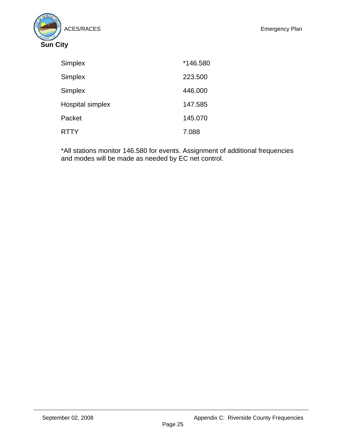

| <b>Simplex</b>   | *146.580 |
|------------------|----------|
| <b>Simplex</b>   | 223.500  |
| <b>Simplex</b>   | 446.000  |
| Hospital simplex | 147.585  |
| Packet           | 145.070  |
| <b>RTTY</b>      | 7.088    |

\*All stations monitor 146.580 for events. Assignment of additional frequencies and modes will be made as needed by EC net control.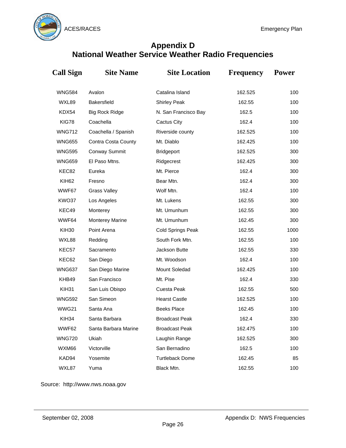

# **Appendix D National Weather Service Weather Radio Frequencies**

| <b>Call Sign</b>  | <b>Site Name</b>       | <b>Site Location</b>   | <b>Frequency</b> | <b>Power</b> |
|-------------------|------------------------|------------------------|------------------|--------------|
| <b>WNG584</b>     | Avalon                 | Catalina Island        | 162.525          | 100          |
| WXL89             | <b>Bakersfield</b>     | <b>Shirley Peak</b>    | 162.55           | 100          |
| KDX54             | <b>Big Rock Ridge</b>  | N. San Francisco Bay   | 162.5            | 100          |
| KIG78             | Coachella              | Cactus City            | 162.4            | 100          |
| <b>WNG712</b>     | Coachella / Spanish    | Riverside county       | 162.525          | 100          |
| <b>WNG655</b>     | Contra Costa County    | Mt. Diablo             | 162.425          | 100          |
| <b>WNG595</b>     | Conway Summit          | <b>Bridgeport</b>      | 162.525          | 300          |
| <b>WNG659</b>     | El Paso Mtns.          | Ridgecrest             | 162.425          | 300          |
| KEC82             | Eureka                 | Mt. Pierce             | 162.4            | 300          |
| KIH <sub>62</sub> | Fresno                 | Bear Mtn.              | 162.4            | 300          |
| WWF67             | <b>Grass Valley</b>    | Wolf Mtn.              | 162.4            | 100          |
| KWO37             | Los Angeles            | Mt. Lukens             | 162.55           | 300          |
| KEC49             | Monterey               | Mt. Umunhum            | 162.55           | 300          |
| WWF64             | <b>Monterey Marine</b> | Mt. Umunhum            | 162.45           | 300          |
| KIH30             | Point Arena            | Cold Springs Peak      | 1000<br>162.55   |              |
| WXL88             | Redding                | South Fork Mtn.        | 162.55           | 100          |
| KEC57             | Sacramento             | Jackson Butte          | 162.55           | 330          |
| KEC62             | San Diego              | Mt. Woodson            | 162.4            | 100          |
| <b>WNG637</b>     | San Diego Marine       | Mount Soledad          | 162.425          | 100          |
| KHB49             | San Francisco          | Mt. Pise               | 162.4            | 330          |
| KIH31             | San Luis Obispo        | Cuesta Peak            | 162.55           | 500          |
| <b>WNG592</b>     | San Simeon             | <b>Hearst Castle</b>   | 162.525          | 100          |
| WWG21             | Santa Ana              | <b>Beeks Place</b>     | 162.45           | 100          |
| KIH34             | Santa Barbara          | <b>Broadcast Peak</b>  | 162.4            | 330          |
| WWF62             | Santa Barbara Marine   | <b>Broadcast Peak</b>  | 162.475          | 100          |
| <b>WNG720</b>     | Ukiah                  | Laughin Range          | 162.525          | 300          |
| WXM66             | Victorville            | San Bernadino          | 162.5            | 100          |
| KAD94             | Yosemite               | <b>Turtleback Dome</b> | 162.45           | 85           |
| WXL87             | Yuma                   | Black Mtn.             | 162.55           | 100          |

Source: http://www.nws.noaa.gov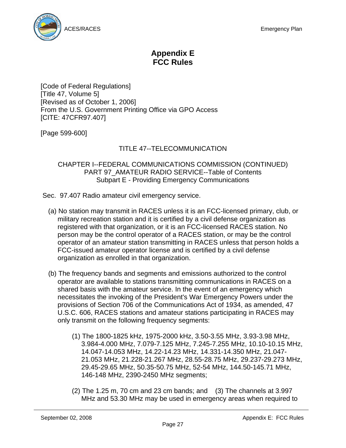

# **Appendix E FCC Rules**

[Code of Federal Regulations] [Title 47, Volume 5] [Revised as of October 1, 2006] From the U.S. Government Printing Office via GPO Access [CITE: 47CFR97.407]

[Page 599-600]

# TITLE 47--TELECOMMUNICATION

#### CHAPTER I--FEDERAL COMMUNICATIONS COMMISSION (CONTINUED) PART 97 AMATEUR RADIO SERVICE--Table of Contents Subpart E - Providing Emergency Communications

- Sec. 97.407 Radio amateur civil emergency service.
	- (a) No station may transmit in RACES unless it is an FCC-licensed primary, club, or military recreation station and it is certified by a civil defense organization as registered with that organization, or it is an FCC-licensed RACES station. No person may be the control operator of a RACES station, or may be the control operator of an amateur station transmitting in RACES unless that person holds a FCC-issued amateur operator license and is certified by a civil defense organization as enrolled in that organization.
	- (b) The frequency bands and segments and emissions authorized to the control operator are available to stations transmitting communications in RACES on a shared basis with the amateur service. In the event of an emergency which necessitates the invoking of the President's War Emergency Powers under the provisions of Section 706 of the Communications Act of 1934, as amended, 47 U.S.C. 606, RACES stations and amateur stations participating in RACES may only transmit on the following frequency segments:
		- (1) The 1800-1825 kHz, 1975-2000 kHz, 3.50-3.55 MHz, 3.93-3.98 MHz, 3.984-4.000 MHz, 7.079-7.125 MHz, 7.245-7.255 MHz, 10.10-10.15 MHz, 14.047-14.053 MHz, 14.22-14.23 MHz, 14.331-14.350 MHz, 21.047- 21.053 MHz, 21.228-21.267 MHz, 28.55-28.75 MHz, 29.237-29.273 MHz, 29.45-29.65 MHz, 50.35-50.75 MHz, 52-54 MHz, 144.50-145.71 MHz, 146-148 MHz, 2390-2450 MHz segments;
		- (2) The 1.25 m, 70 cm and 23 cm bands; and (3) The channels at 3.997 MHz and 53.30 MHz may be used in emergency areas when required to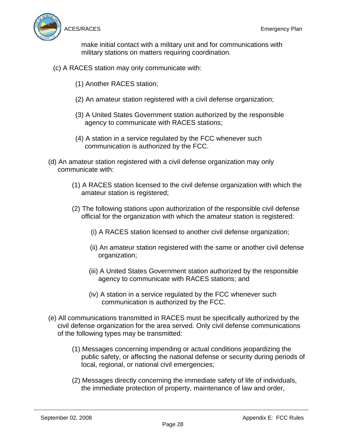

make initial contact with a military unit and for communications with military stations on matters requiring coordination.

- (c) A RACES station may only communicate with:
	- (1) Another RACES station;
	- (2) An amateur station registered with a civil defense organization;
	- (3) A United States Government station authorized by the responsible agency to communicate with RACES stations;
	- (4) A station in a service regulated by the FCC whenever such communication is authorized by the FCC.
- (d) An amateur station registered with a civil defense organization may only communicate with:
	- (1) A RACES station licensed to the civil defense organization with which the amateur station is registered;
	- (2) The following stations upon authorization of the responsible civil defense official for the organization with which the amateur station is registered:
		- (i) A RACES station licensed to another civil defense organization;
		- (ii) An amateur station registered with the same or another civil defense organization;
		- (iii) A United States Government station authorized by the responsible agency to communicate with RACES stations; and
		- (iv) A station in a service regulated by the FCC whenever such communication is authorized by the FCC.
- (e) All communications transmitted in RACES must be specifically authorized by the civil defense organization for the area served. Only civil defense communications of the following types may be transmitted:
	- (1) Messages concerning impending or actual conditions jeopardizing the public safety, or affecting the national defense or security during periods of local, regional, or national civil emergencies;
	- (2) Messages directly concerning the immediate safety of life of individuals, the immediate protection of property, maintenance of law and order,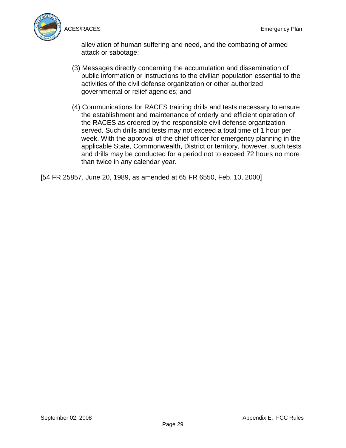

alleviation of human suffering and need, and the combating of armed attack or sabotage;

- (3) Messages directly concerning the accumulation and dissemination of public information or instructions to the civilian population essential to the activities of the civil defense organization or other authorized governmental or relief agencies; and
- (4) Communications for RACES training drills and tests necessary to ensure the establishment and maintenance of orderly and efficient operation of the RACES as ordered by the responsible civil defense organization served. Such drills and tests may not exceed a total time of 1 hour per week. With the approval of the chief officer for emergency planning in the applicable State, Commonwealth, District or territory, however, such tests and drills may be conducted for a period not to exceed 72 hours no more than twice in any calendar year.

[54 FR 25857, June 20, 1989, as amended at 65 FR 6550, Feb. 10, 2000]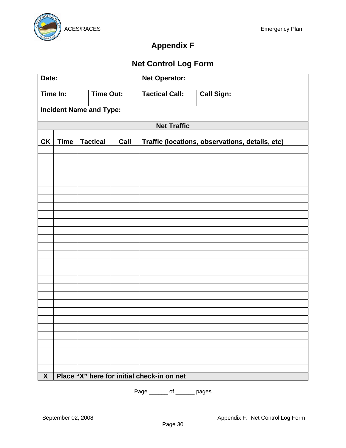

# **Appendix F**

# **Net Control Log Form**

| Date:                          |                              | <b>Net Operator:</b> |                       |                   |                                            |                                                 |
|--------------------------------|------------------------------|----------------------|-----------------------|-------------------|--------------------------------------------|-------------------------------------------------|
|                                | Time In:<br><b>Time Out:</b> |                      | <b>Tactical Call:</b> | <b>Call Sign:</b> |                                            |                                                 |
| <b>Incident Name and Type:</b> |                              |                      |                       |                   |                                            |                                                 |
|                                |                              |                      |                       |                   | <b>Net Traffic</b>                         |                                                 |
| CK                             | <b>Time</b>                  |                      | <b>Tactical</b>       | Call              |                                            | Traffic (locations, observations, details, etc) |
|                                |                              |                      |                       |                   |                                            |                                                 |
|                                |                              |                      |                       |                   |                                            |                                                 |
|                                |                              |                      |                       |                   |                                            |                                                 |
|                                |                              |                      |                       |                   |                                            |                                                 |
|                                |                              |                      |                       |                   |                                            |                                                 |
|                                |                              |                      |                       |                   |                                            |                                                 |
|                                |                              |                      |                       |                   |                                            |                                                 |
|                                |                              |                      |                       |                   |                                            |                                                 |
|                                |                              |                      |                       |                   |                                            |                                                 |
|                                |                              |                      |                       |                   |                                            |                                                 |
|                                |                              |                      |                       |                   |                                            |                                                 |
|                                |                              |                      |                       |                   |                                            |                                                 |
|                                |                              |                      |                       |                   |                                            |                                                 |
|                                |                              |                      |                       |                   |                                            |                                                 |
|                                |                              |                      |                       |                   |                                            |                                                 |
|                                |                              |                      |                       |                   |                                            |                                                 |
|                                |                              |                      |                       |                   |                                            |                                                 |
|                                |                              |                      |                       |                   |                                            |                                                 |
|                                |                              |                      |                       |                   |                                            |                                                 |
|                                |                              |                      |                       |                   |                                            |                                                 |
|                                |                              |                      |                       |                   |                                            |                                                 |
|                                |                              |                      |                       |                   |                                            |                                                 |
| $\mathbf{X}$                   |                              |                      |                       |                   | Place "X" here for initial check-in on net |                                                 |

Page \_\_\_\_\_\_ of \_\_\_\_\_\_ pages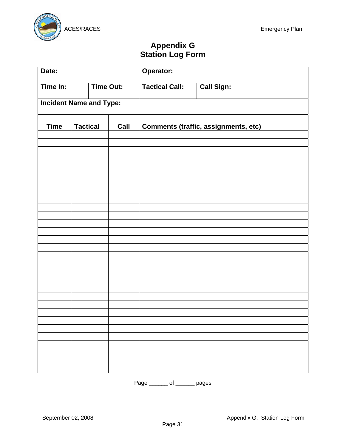

# **Appendix G Station Log Form**

| Date:                          |                         | Operator: |                       |                                      |  |
|--------------------------------|-------------------------|-----------|-----------------------|--------------------------------------|--|
| Time In:                       | <b>Time Out:</b>        |           | <b>Tactical Call:</b> | <b>Call Sign:</b>                    |  |
| <b>Incident Name and Type:</b> |                         |           |                       |                                      |  |
| <b>Time</b>                    | <b>Tactical</b><br>Call |           |                       | Comments (traffic, assignments, etc) |  |
|                                |                         |           |                       |                                      |  |
|                                |                         |           |                       |                                      |  |
|                                |                         |           |                       |                                      |  |
|                                |                         |           |                       |                                      |  |
|                                |                         |           |                       |                                      |  |
|                                |                         |           |                       |                                      |  |
|                                |                         |           |                       |                                      |  |
|                                |                         |           |                       |                                      |  |
|                                |                         |           |                       |                                      |  |
|                                |                         |           |                       |                                      |  |
|                                |                         |           |                       |                                      |  |
|                                |                         |           |                       |                                      |  |
|                                |                         |           |                       |                                      |  |
|                                |                         |           |                       |                                      |  |
|                                |                         |           |                       |                                      |  |
|                                |                         |           |                       |                                      |  |
|                                |                         |           |                       |                                      |  |
|                                |                         |           |                       |                                      |  |
|                                |                         |           |                       |                                      |  |
|                                |                         |           |                       |                                      |  |
|                                |                         |           |                       |                                      |  |
|                                |                         |           |                       |                                      |  |

Page \_\_\_\_\_\_\_ of \_\_\_\_\_\_\_ pages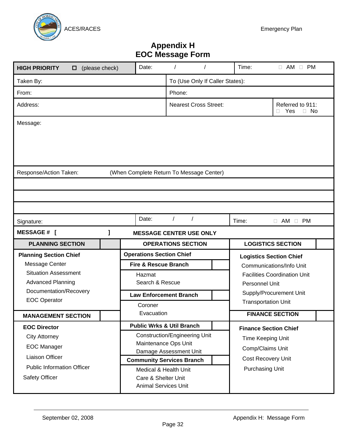

# **Appendix H EOC Message Form**

| <b>HIGH PRIORITY</b><br>$\Box$ (please check)                                                                                                                                                                                                                                                                                                                                                    |        | Date:                                                                                                                            |          |                              |  | Time:                                                                                                                 | $\Box$ AM $\Box$ PM                                                                                                          |
|--------------------------------------------------------------------------------------------------------------------------------------------------------------------------------------------------------------------------------------------------------------------------------------------------------------------------------------------------------------------------------------------------|--------|----------------------------------------------------------------------------------------------------------------------------------|----------|------------------------------|--|-----------------------------------------------------------------------------------------------------------------------|------------------------------------------------------------------------------------------------------------------------------|
| Taken By:                                                                                                                                                                                                                                                                                                                                                                                        |        | To (Use Only If Caller States):                                                                                                  |          |                              |  |                                                                                                                       |                                                                                                                              |
| From:                                                                                                                                                                                                                                                                                                                                                                                            | Phone: |                                                                                                                                  |          |                              |  |                                                                                                                       |                                                                                                                              |
| Address:                                                                                                                                                                                                                                                                                                                                                                                         |        |                                                                                                                                  |          | <b>Nearest Cross Street:</b> |  |                                                                                                                       | Referred to 911:<br>Yes<br>$\Box$ No<br>П                                                                                    |
| Message:                                                                                                                                                                                                                                                                                                                                                                                         |        |                                                                                                                                  |          |                              |  |                                                                                                                       |                                                                                                                              |
| Response/Action Taken:                                                                                                                                                                                                                                                                                                                                                                           |        | (When Complete Return To Message Center)                                                                                         |          |                              |  |                                                                                                                       |                                                                                                                              |
| Signature:                                                                                                                                                                                                                                                                                                                                                                                       |        | Date:                                                                                                                            | $\prime$ |                              |  | Time:                                                                                                                 | $\Box$ AM $\Box$ PM                                                                                                          |
| <b>MESSAGE # [</b>                                                                                                                                                                                                                                                                                                                                                                               | ı      | <b>MESSAGE CENTER USE ONLY</b>                                                                                                   |          |                              |  |                                                                                                                       |                                                                                                                              |
| <b>PLANNING SECTION</b>                                                                                                                                                                                                                                                                                                                                                                          |        |                                                                                                                                  |          | <b>OPERATIONS SECTION</b>    |  |                                                                                                                       | <b>LOGISTICS SECTION</b>                                                                                                     |
| <b>Planning Section Chief</b><br>Message Center<br><b>Situation Assessment</b><br><b>Advanced Planning</b><br>Documentation/Recovery<br><b>EOC Operator</b>                                                                                                                                                                                                                                      |        | <b>Operations Section Chief</b><br><b>Fire &amp; Rescue Branch</b><br>Hazmat<br>Search & Rescue<br><b>Law Enforcement Branch</b> |          |                              |  | Personnel Unit                                                                                                        | <b>Logistics Section Chief</b><br>Communications/Info Unit<br><b>Facilities Coordination Unit</b><br>Supply/Procurement Unit |
| <b>MANAGEMENT SECTION</b>                                                                                                                                                                                                                                                                                                                                                                        |        | Coroner<br>Evacuation                                                                                                            |          |                              |  |                                                                                                                       | <b>Transportation Unit</b><br><b>FINANCE SECTION</b>                                                                         |
| <b>Public Wrks &amp; Util Branch</b><br><b>EOC Director</b><br><b>Construction/Engineering Unit</b><br><b>City Attorney</b><br>Maintenance Ops Unit<br><b>EOC Manager</b><br>Damage Assessment Unit<br>Liaison Officer<br><b>Community Services Branch</b><br><b>Public Information Officer</b><br>Medical & Health Unit<br>Safety Officer<br>Care & Shelter Unit<br><b>Animal Services Unit</b> |        |                                                                                                                                  |          |                              |  | <b>Finance Section Chief</b><br>Time Keeping Unit<br>Comp/Claims Unit<br>Cost Recovery Unit<br><b>Purchasing Unit</b> |                                                                                                                              |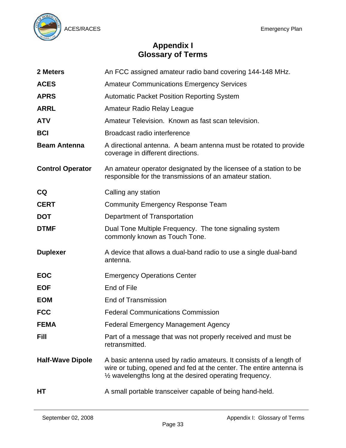

# **Appendix I Glossary of Terms**

| 2 Meters                | An FCC assigned amateur radio band covering 144-148 MHz.                                                                                                                                              |
|-------------------------|-------------------------------------------------------------------------------------------------------------------------------------------------------------------------------------------------------|
| <b>ACES</b>             | <b>Amateur Communications Emergency Services</b>                                                                                                                                                      |
| <b>APRS</b>             | <b>Automatic Packet Position Reporting System</b>                                                                                                                                                     |
| <b>ARRL</b>             | Amateur Radio Relay League                                                                                                                                                                            |
| <b>ATV</b>              | Amateur Television. Known as fast scan television.                                                                                                                                                    |
| <b>BCI</b>              | Broadcast radio interference                                                                                                                                                                          |
| <b>Beam Antenna</b>     | A directional antenna. A beam antenna must be rotated to provide<br>coverage in different directions.                                                                                                 |
| <b>Control Operator</b> | An amateur operator designated by the licensee of a station to be<br>responsible for the transmissions of an amateur station.                                                                         |
| <b>CQ</b>               | Calling any station                                                                                                                                                                                   |
| <b>CERT</b>             | <b>Community Emergency Response Team</b>                                                                                                                                                              |
| <b>DOT</b>              | Department of Transportation                                                                                                                                                                          |
| <b>DTMF</b>             | Dual Tone Multiple Frequency. The tone signaling system                                                                                                                                               |
|                         | commonly known as Touch Tone.                                                                                                                                                                         |
| <b>Duplexer</b>         | A device that allows a dual-band radio to use a single dual-band<br>antenna.                                                                                                                          |
| <b>EOC</b>              | <b>Emergency Operations Center</b>                                                                                                                                                                    |
| <b>EOF</b>              | End of File                                                                                                                                                                                           |
| <b>EOM</b>              | <b>End of Transmission</b>                                                                                                                                                                            |
| <b>FCC</b>              | <b>Federal Communications Commission</b>                                                                                                                                                              |
| <b>FEMA</b>             | <b>Federal Emergency Management Agency</b>                                                                                                                                                            |
| <b>Fill</b>             | Part of a message that was not properly received and must be<br>retransmitted.                                                                                                                        |
| <b>Half-Wave Dipole</b> | A basic antenna used by radio amateurs. It consists of a length of<br>wire or tubing, opened and fed at the center. The entire antenna is<br>1/2 wavelengths long at the desired operating frequency. |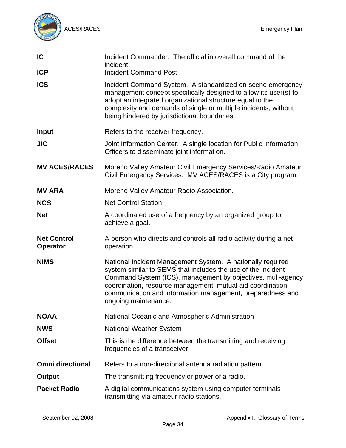

| IC                                    | Incident Commander. The official in overall command of the<br>incident.<br><b>Incident Command Post</b>                                                                                                                                                                                                                                        |
|---------------------------------------|------------------------------------------------------------------------------------------------------------------------------------------------------------------------------------------------------------------------------------------------------------------------------------------------------------------------------------------------|
| <b>ICP</b>                            |                                                                                                                                                                                                                                                                                                                                                |
| <b>ICS</b>                            | Incident Command System. A standardized on-scene emergency<br>management concept specifically designed to allow its user(s) to<br>adopt an integrated organizational structure equal to the<br>complexity and demands of single or multiple incidents, without<br>being hindered by jurisdictional boundaries.                                 |
| <b>Input</b>                          | Refers to the receiver frequency.                                                                                                                                                                                                                                                                                                              |
| <b>JIC</b>                            | Joint Information Center. A single location for Public Information<br>Officers to disseminate joint information.                                                                                                                                                                                                                               |
| <b>MV ACES/RACES</b>                  | Moreno Valley Amateur Civil Emergency Services/Radio Amateur<br>Civil Emergency Services. MV ACES/RACES is a City program.                                                                                                                                                                                                                     |
| <b>MV ARA</b>                         | Moreno Valley Amateur Radio Association.                                                                                                                                                                                                                                                                                                       |
| <b>NCS</b>                            | <b>Net Control Station</b>                                                                                                                                                                                                                                                                                                                     |
| <b>Net</b>                            | A coordinated use of a frequency by an organized group to<br>achieve a goal.                                                                                                                                                                                                                                                                   |
| <b>Net Control</b><br><b>Operator</b> | A person who directs and controls all radio activity during a net<br>operation.                                                                                                                                                                                                                                                                |
| <b>NIMS</b>                           | National Incident Management System. A nationally required<br>system similar to SEMS that includes the use of the Incident<br>Command System (ICS), management by objectives, muli-agency<br>coordination, resource management, mutual aid coordination,<br>communication and information management, preparedness and<br>ongoing maintenance. |
| <b>NOAA</b>                           | National Oceanic and Atmospheric Administration                                                                                                                                                                                                                                                                                                |
| <b>NWS</b>                            | <b>National Weather System</b>                                                                                                                                                                                                                                                                                                                 |
| <b>Offset</b>                         | This is the difference between the transmitting and receiving<br>frequencies of a transceiver.                                                                                                                                                                                                                                                 |
| <b>Omni directional</b>               | Refers to a non-directional antenna radiation pattern.                                                                                                                                                                                                                                                                                         |
| Output                                | The transmitting frequency or power of a radio.                                                                                                                                                                                                                                                                                                |
| <b>Packet Radio</b>                   | A digital communications system using computer terminals<br>transmitting via amateur radio stations.                                                                                                                                                                                                                                           |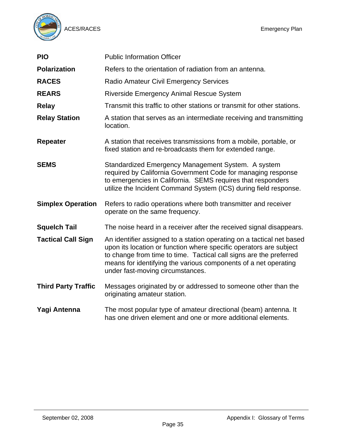

| <b>PIO</b>                 | <b>Public Information Officer</b>                                                                                                                                                                                                                                                                                        |
|----------------------------|--------------------------------------------------------------------------------------------------------------------------------------------------------------------------------------------------------------------------------------------------------------------------------------------------------------------------|
| <b>Polarization</b>        | Refers to the orientation of radiation from an antenna.                                                                                                                                                                                                                                                                  |
| <b>RACES</b>               | <b>Radio Amateur Civil Emergency Services</b>                                                                                                                                                                                                                                                                            |
| <b>REARS</b>               | Riverside Emergency Animal Rescue System                                                                                                                                                                                                                                                                                 |
| <b>Relay</b>               | Transmit this traffic to other stations or transmit for other stations.                                                                                                                                                                                                                                                  |
| <b>Relay Station</b>       | A station that serves as an intermediate receiving and transmitting<br>location.                                                                                                                                                                                                                                         |
| <b>Repeater</b>            | A station that receives transmissions from a mobile, portable, or<br>fixed station and re-broadcasts them for extended range.                                                                                                                                                                                            |
| <b>SEMS</b>                | Standardized Emergency Management System. A system<br>required by California Government Code for managing response<br>to emergencies in California. SEMS requires that responders<br>utilize the Incident Command System (ICS) during field response.                                                                    |
| <b>Simplex Operation</b>   | Refers to radio operations where both transmitter and receiver<br>operate on the same frequency.                                                                                                                                                                                                                         |
| <b>Squelch Tail</b>        | The noise heard in a receiver after the received signal disappears.                                                                                                                                                                                                                                                      |
| <b>Tactical Call Sign</b>  | An identifier assigned to a station operating on a tactical net based<br>upon its location or function where specific operators are subject<br>to change from time to time. Tactical call signs are the preferred<br>means for identifying the various components of a net operating<br>under fast-moving circumstances. |
| <b>Third Party Traffic</b> | Messages originated by or addressed to someone other than the<br>originating amateur station.                                                                                                                                                                                                                            |
| Yagi Antenna               | The most popular type of amateur directional (beam) antenna. It<br>has one driven element and one or more additional elements.                                                                                                                                                                                           |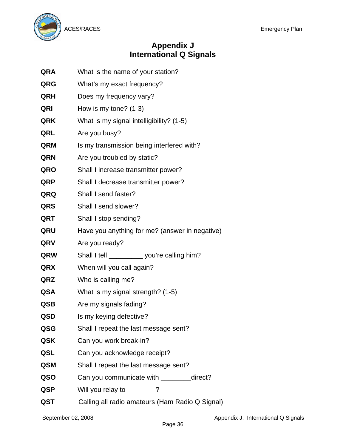

# **Appendix J International Q Signals**

- **QRA** What is the name of your station?
- **QRG** What's my exact frequency?
- **QRH** Does my frequency vary?
- **QRI** How is my tone? (1-3)
- **QRK** What is my signal intelligibility? (1-5)
- **QRL** Are you busy?
- **QRM** Is my transmission being interfered with?
- **QRN** Are you troubled by static?
- **QRO** Shall I increase transmitter power?
- **QRP** Shall I decrease transmitter power?
- **QRQ** Shall I send faster?
- **QRS** Shall I send slower?
- **QRT** Shall I stop sending?
- **QRU** Have you anything for me? (answer in negative)
- **QRV** Are you ready?
- **QRW** Shall I tell \_\_\_\_\_\_\_\_\_ you're calling him?
- **QRX** When will you call again?
- **QRZ** Who is calling me?
- **QSA** What is my signal strength? (1-5)
- **QSB** Are my signals fading?
- **QSD** Is my keying defective?
- **QSG** Shall I repeat the last message sent?
- **QSK** Can you work break-in?
- **QSL** Can you acknowledge receipt?
- **QSM** Shall I repeat the last message sent?
- **QSO** Can you communicate with direct?
- **QSP** Will you relay to 2
- **QST** Calling all radio amateurs (Ham Radio Q Signal)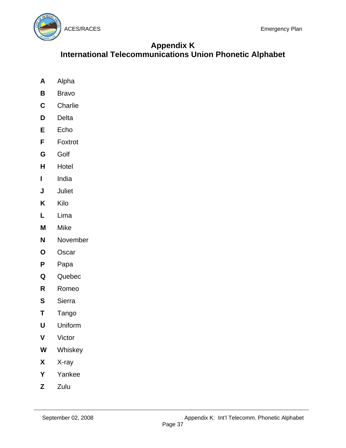

# **Appendix K**

**International Telecommunications Union Phonetic Alphabet** 

- **A** Alpha
- **B** Bravo
- **C** Charlie
- **D** Delta
- **E** Echo
- **F** Foxtrot
- **G** Golf
- **H** Hotel
- **I** India
- **J** Juliet
- **K** Kilo
- **L** Lima
- **M** Mike
- **N** November
- **O** Oscar
- **P** Papa
- **Q** Quebec
- **R** Romeo
- **S** Sierra
- **T** Tango
- **U** Uniform
- **V** Victor
- **W** Whiskey
- **X** X-ray
- **Y** Yankee
- **Z** Zulu